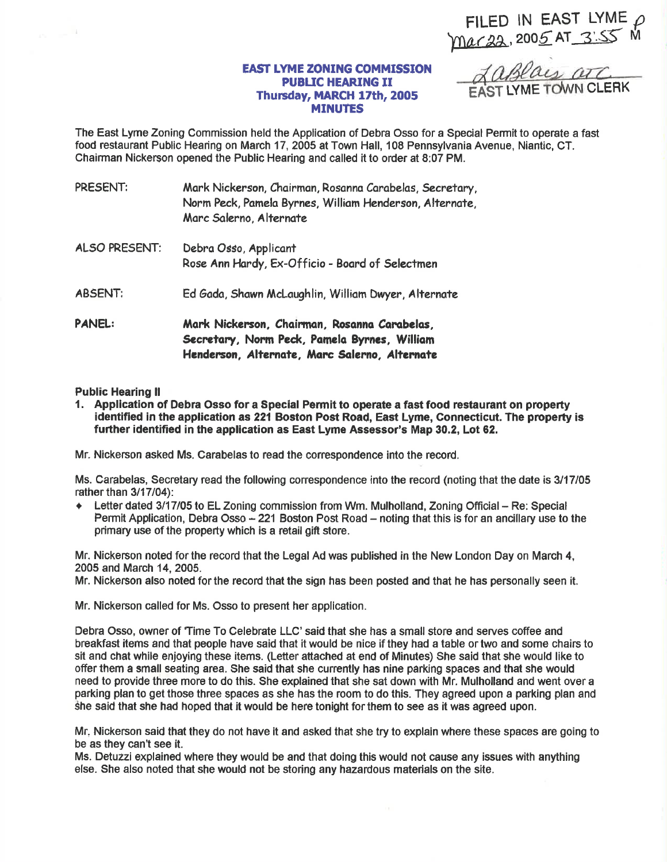FILED IN EAST LYME  $\rho$ mar22, 2005 AT 3'55 M

## **EAST LYME ZONING COMMISSION** PUBUC HEARING II Thursday, MARCH 17th, 2005 **MINUTES**

ST LYME TOWN CLERK

The East Lyme Zoning Commission held the Application of Debra Osso for a Special Permit to operate a fast food restaurant Public Hearing on March 17,2005 at Town Hall, 108 Pennsylvania Avenue, Niantic, CT. Chairman Nickerson opened the Public Hearing and called it to order at 8:07 PM.

| PRESENT:       | Mark Nickerson, Chairman, Rosanna Carabelas, Secretary,<br>Norm Peck, Pamela Byrnes, William Henderson, Alternate,<br>Marc Salerno, Alternate |
|----------------|-----------------------------------------------------------------------------------------------------------------------------------------------|
| ALSO PRESENT:  | Debra Osso, Applicant<br>Rose Ann Hardy, Ex-Officio - Board of Selectmen                                                                      |
| <b>ABSENT:</b> | Ed Gada, Shawn McLaughlin, William Dwyer, Alternate                                                                                           |
| <b>PANEL:</b>  | Mark Nickerson, Chairman, Rosanna Carabelas,<br>Secretary, Norm Peck, Pamela Byrnes, William<br>Henderson, Alternate, Marc Salerno, Alternate |

## Public Hearing ll

1. Appllcation of Debra Osso for a Special Pemit to operate a fast food restaurant on property identified in the application as 221 Boston Post Road, East Lyme, Connecticut. The property is further identified in the application as East Lyme Assessor's Map 30.2, Lot 62.

Mr. Nickerson asked Ms. Carabelas to read the conespondence into the record.

Ms. Carabelas, Seoretary read the following correspondence into the record (noting that the date is 3117105 rather than  $3/17/04$ :

Letter dated 3/17/05 to EL Zoning commission from Wm. Mulholland, Zoning Official - Re: Special Permit Application, Debra Osso  $-221$  Boston Post Road  $-$  noting that this is for an ancillary use to the primary use of the property which is a retail gift store.

Mr. Nickerson noted for the record that the Legal Ad was published in the New London Day on March 4, 2005 and March 14,2005.

Mr. Nickerson also noted for the record that the sign has been posted and that he has personally seen it.

Mr. Nickerson called for Ms. Osso to present her application.

Debra Osso, owner of 'Time To Celebrate LLC' said that she has a small store and serves coffee and breakfast items and that people have said that it would be nice if they had a table or two and some chairs to sit and chat while enjoying these items. (Letter attached at end of Minutes) She said that she would like to offer them a small seating area. She said that she cunently has nine parking spaces and that she would need to provide three more to do this. She explained that she sat down with Mr. Mulholland and went over a parking plan to get those three spaces as she has the room to do this. They agreed upon a parking plan and she said that she had hoped that it would be here tonight for them to see as it was agreed upon.

Mr, Nickerson said that they do not have it and asked that she try to explain where these spaces are going to be as they can't see it.

Ms. Detuzzi explained where they would be and that doing this would not cause any issues with anything else. She also noted that she would not be storing any hazardous materials on the site.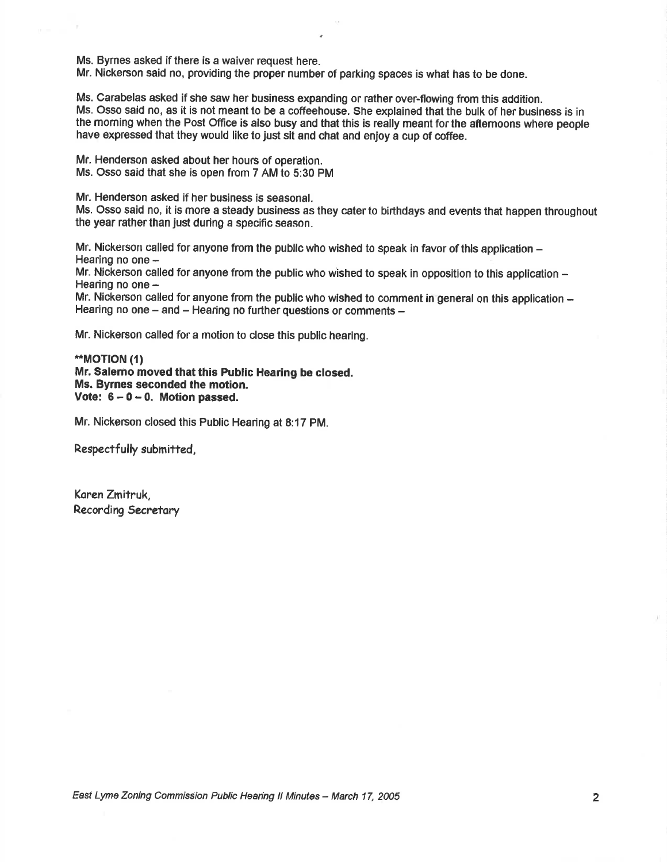Ms. Byrnes asked if there is a waiver request here.

Mr. Nickerson said no, providing the proper number of parking spaces is what has to be done.

Ms. Carabelas asked if she saw her business expanding or rather over-flowing from this addition. Ms. Osso said no, as it is not meant to be a coffeehouse. She explained that the bulk of her business is in the moming when the Post Office is also busy and that this is really meant for the aftemoons where people have expressed that they would like to just sit and chat and enjoy a cup of coffee.

Mr. Henderson asked about her hours of operation. Ms. Osso said that she is open from 7 AM to 5:30 PM

Mr. Henderson asked if her business is seasonal.

Ms. Osso said no, it is more a steady business as they cater to birthdays and events that happen throughout the year rather than just during a specific season.

Mr. Nickerson called for anyone from the public who wished to speak in favor of this application  $-$ Hearing no one -

Mr. Nickerson called for anyone from the public who wished to speak in opposition to this application -Hearing no one -

Mr. Nickerson called for anyone from the public who wished to comment in general on this application -Hearing no one  $-$  and  $-$  Hearing no further questions or comments  $-$ 

Mr. Nickerson called for a motion to close this public hearing.

## \*\*MOTION ({) Mr. Salemo moved that this Public Hearing be closed. Ms. Byrnes seconded the motion. Vote:  $6 - 0 - 0$ . Motion passed.

Mr. Nickerson closed this Public Hearing at 8:17 PM.

Respectfully submitted,

Karen Zmitruk, Recording Secretary